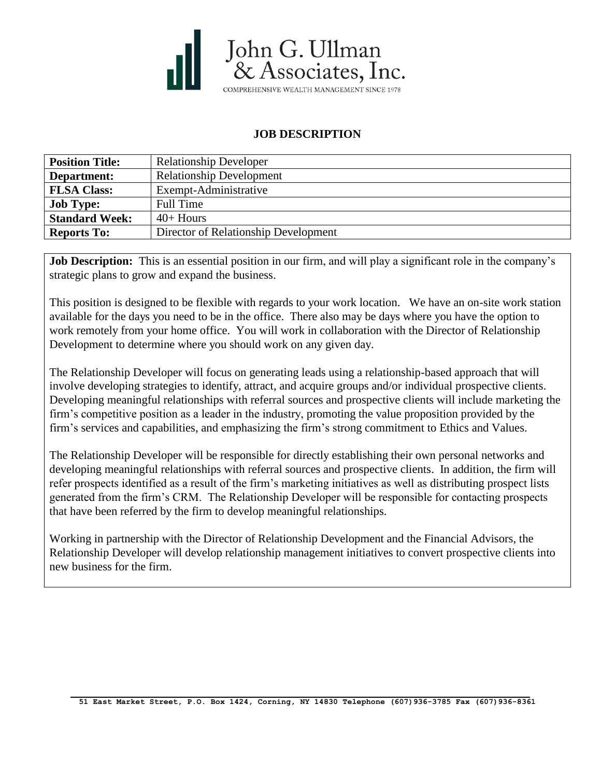

## **JOB DESCRIPTION**

| <b>Position Title:</b> | <b>Relationship Developer</b>        |
|------------------------|--------------------------------------|
| Department:            | <b>Relationship Development</b>      |
| <b>FLSA Class:</b>     | Exempt-Administrative                |
| <b>Job Type:</b>       | Full Time                            |
| <b>Standard Week:</b>  | $40+$ Hours                          |
| <b>Reports To:</b>     | Director of Relationship Development |

**Job Description:** This is an essential position in our firm, and will play a significant role in the company's strategic plans to grow and expand the business.

This position is designed to be flexible with regards to your work location. We have an on-site work station available for the days you need to be in the office. There also may be days where you have the option to work remotely from your home office. You will work in collaboration with the Director of Relationship Development to determine where you should work on any given day.

The Relationship Developer will focus on generating leads using a relationship-based approach that will involve developing strategies to identify, attract, and acquire groups and/or individual prospective clients. Developing meaningful relationships with referral sources and prospective clients will include marketing the firm's competitive position as a leader in the industry, promoting the value proposition provided by the firm's services and capabilities, and emphasizing the firm's strong commitment to Ethics and Values.

The Relationship Developer will be responsible for directly establishing their own personal networks and developing meaningful relationships with referral sources and prospective clients. In addition, the firm will refer prospects identified as a result of the firm's marketing initiatives as well as distributing prospect lists generated from the firm's CRM. The Relationship Developer will be responsible for contacting prospects that have been referred by the firm to develop meaningful relationships.

Working in partnership with the Director of Relationship Development and the Financial Advisors, the Relationship Developer will develop relationship management initiatives to convert prospective clients into new business for the firm.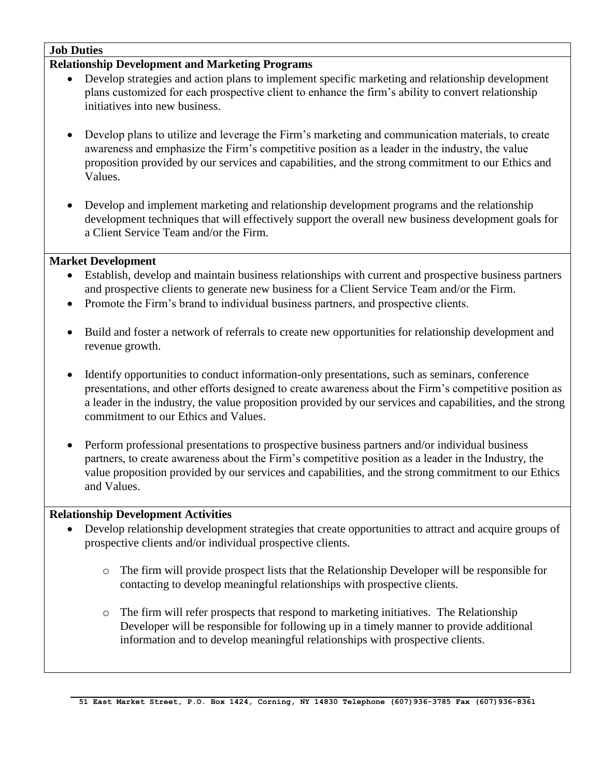### **Job Duties**

#### **Relationship Development and Marketing Programs**

- Develop strategies and action plans to implement specific marketing and relationship development plans customized for each prospective client to enhance the firm's ability to convert relationship initiatives into new business.
- Develop plans to utilize and leverage the Firm's marketing and communication materials, to create awareness and emphasize the Firm's competitive position as a leader in the industry, the value proposition provided by our services and capabilities, and the strong commitment to our Ethics and Values.
- Develop and implement marketing and relationship development programs and the relationship development techniques that will effectively support the overall new business development goals for a Client Service Team and/or the Firm.

### **Market Development**

- Establish, develop and maintain business relationships with current and prospective business partners and prospective clients to generate new business for a Client Service Team and/or the Firm.
- Promote the Firm's brand to individual business partners, and prospective clients.
- Build and foster a network of referrals to create new opportunities for relationship development and revenue growth.
- Identify opportunities to conduct information-only presentations, such as seminars, conference presentations, and other efforts designed to create awareness about the Firm's competitive position as a leader in the industry, the value proposition provided by our services and capabilities, and the strong commitment to our Ethics and Values.
- Perform professional presentations to prospective business partners and/or individual business partners, to create awareness about the Firm's competitive position as a leader in the Industry, the value proposition provided by our services and capabilities, and the strong commitment to our Ethics and Values.

### **Relationship Development Activities**

- Develop relationship development strategies that create opportunities to attract and acquire groups of prospective clients and/or individual prospective clients.
	- o The firm will provide prospect lists that the Relationship Developer will be responsible for contacting to develop meaningful relationships with prospective clients.
	- o The firm will refer prospects that respond to marketing initiatives. The Relationship Developer will be responsible for following up in a timely manner to provide additional information and to develop meaningful relationships with prospective clients.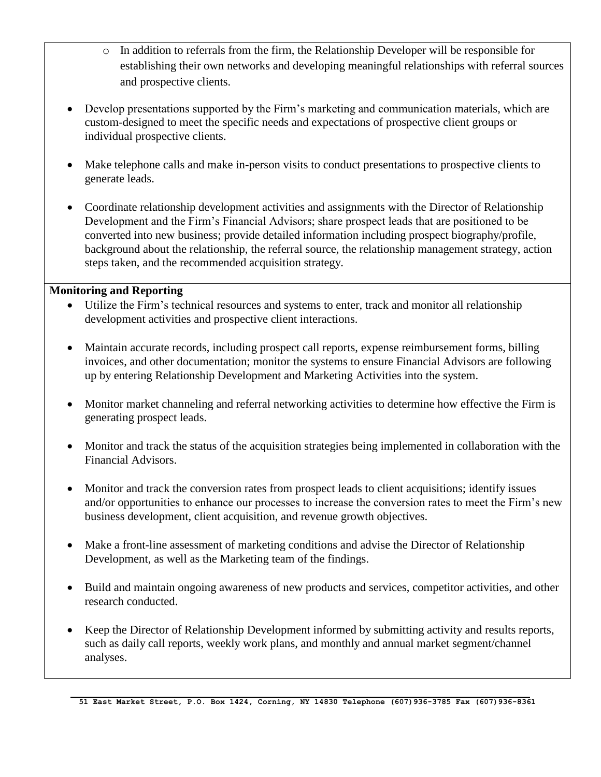- o In addition to referrals from the firm, the Relationship Developer will be responsible for establishing their own networks and developing meaningful relationships with referral sources and prospective clients.
- Develop presentations supported by the Firm's marketing and communication materials, which are custom-designed to meet the specific needs and expectations of prospective client groups or individual prospective clients.
- Make telephone calls and make in-person visits to conduct presentations to prospective clients to generate leads.
- Coordinate relationship development activities and assignments with the Director of Relationship Development and the Firm's Financial Advisors; share prospect leads that are positioned to be converted into new business; provide detailed information including prospect biography/profile, background about the relationship, the referral source, the relationship management strategy, action steps taken, and the recommended acquisition strategy.

### **Monitoring and Reporting**

- Utilize the Firm's technical resources and systems to enter, track and monitor all relationship development activities and prospective client interactions.
- Maintain accurate records, including prospect call reports, expense reimbursement forms, billing invoices, and other documentation; monitor the systems to ensure Financial Advisors are following up by entering Relationship Development and Marketing Activities into the system.
- Monitor market channeling and referral networking activities to determine how effective the Firm is generating prospect leads.
- Monitor and track the status of the acquisition strategies being implemented in collaboration with the Financial Advisors.
- Monitor and track the conversion rates from prospect leads to client acquisitions; identify issues and/or opportunities to enhance our processes to increase the conversion rates to meet the Firm's new business development, client acquisition, and revenue growth objectives.
- Make a front-line assessment of marketing conditions and advise the Director of Relationship Development, as well as the Marketing team of the findings.
- Build and maintain ongoing awareness of new products and services, competitor activities, and other research conducted.
- Keep the Director of Relationship Development informed by submitting activity and results reports, such as daily call reports, weekly work plans, and monthly and annual market segment/channel analyses.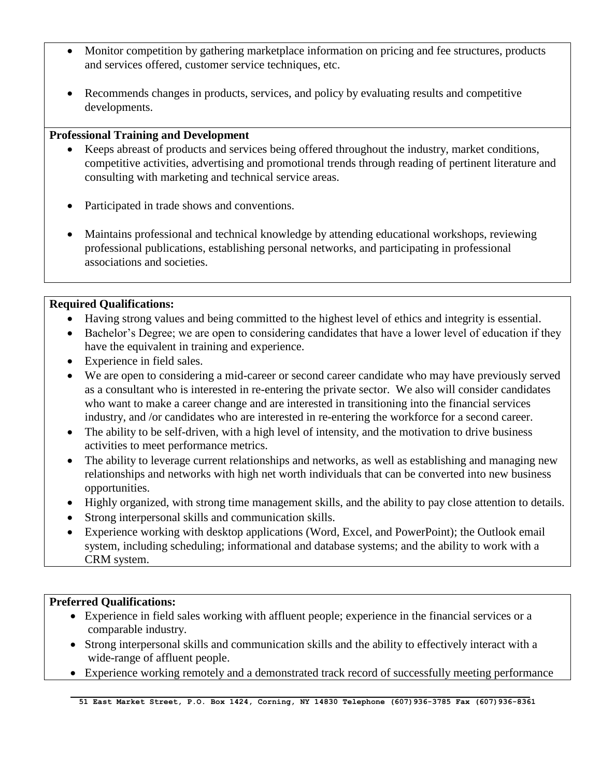- Monitor competition by gathering marketplace information on pricing and fee structures, products and services offered, customer service techniques, etc.
- Recommends changes in products, services, and policy by evaluating results and competitive developments.

### **Professional Training and Development**

- Keeps abreast of products and services being offered throughout the industry, market conditions, competitive activities, advertising and promotional trends through reading of pertinent literature and consulting with marketing and technical service areas.
- Participated in trade shows and conventions.
- Maintains professional and technical knowledge by attending educational workshops, reviewing professional publications, establishing personal networks, and participating in professional associations and societies.

# **Required Qualifications:**

- Having strong values and being committed to the highest level of ethics and integrity is essential.
- Bachelor's Degree; we are open to considering candidates that have a lower level of education if they have the equivalent in training and experience.
- Experience in field sales.
- We are open to considering a mid-career or second career candidate who may have previously served as a consultant who is interested in re-entering the private sector. We also will consider candidates who want to make a career change and are interested in transitioning into the financial services industry, and /or candidates who are interested in re-entering the workforce for a second career.
- The ability to be self-driven, with a high level of intensity, and the motivation to drive business activities to meet performance metrics.
- The ability to leverage current relationships and networks, as well as establishing and managing new relationships and networks with high net worth individuals that can be converted into new business opportunities.
- Highly organized, with strong time management skills, and the ability to pay close attention to details.
- Strong interpersonal skills and communication skills.
- Experience working with desktop applications (Word, Excel, and PowerPoint); the Outlook email system, including scheduling; informational and database systems; and the ability to work with a CRM system.

## **Preferred Qualifications:**

- Experience in field sales working with affluent people; experience in the financial services or a comparable industry.
- Strong interpersonal skills and communication skills and the ability to effectively interact with a wide-range of affluent people.
- Experience working remotely and a demonstrated track record of successfully meeting performance